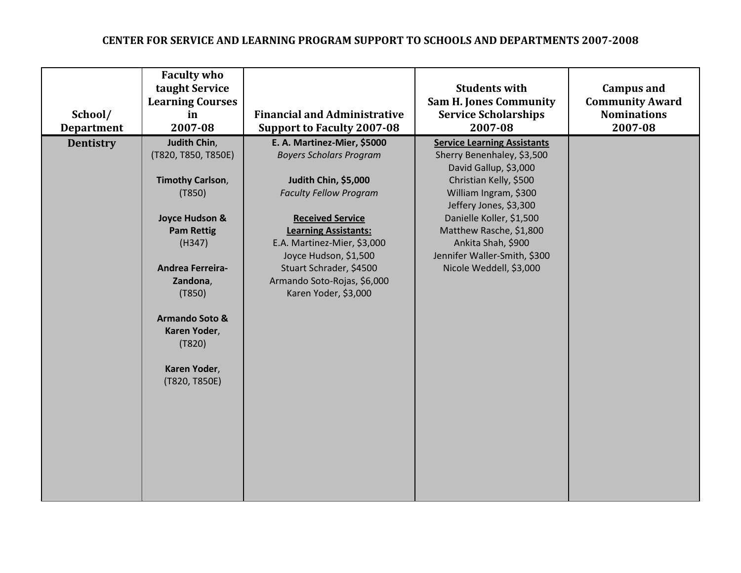| School/<br><b>Department</b> | <b>Faculty who</b><br>taught Service<br><b>Learning Courses</b><br>in<br>2007-08                                                                                                                                                                                              | <b>Financial and Administrative</b><br><b>Support to Faculty 2007-08</b>                                                                                                                                                                                                                                                   | <b>Students with</b><br><b>Sam H. Jones Community</b><br><b>Service Scholarships</b><br>2007-08                                                                                                                                                                                                                | <b>Campus and</b><br><b>Community Award</b><br><b>Nominations</b><br>2007-08 |
|------------------------------|-------------------------------------------------------------------------------------------------------------------------------------------------------------------------------------------------------------------------------------------------------------------------------|----------------------------------------------------------------------------------------------------------------------------------------------------------------------------------------------------------------------------------------------------------------------------------------------------------------------------|----------------------------------------------------------------------------------------------------------------------------------------------------------------------------------------------------------------------------------------------------------------------------------------------------------------|------------------------------------------------------------------------------|
| <b>Dentistry</b>             | Judith Chin,<br>(T820, T850, T850E)<br><b>Timothy Carlson,</b><br>(T850)<br><b>Joyce Hudson &amp;</b><br><b>Pam Rettig</b><br>(H347)<br><b>Andrea Ferreira-</b><br>Zandona,<br>(T850)<br><b>Armando Soto &amp;</b><br>Karen Yoder,<br>(T820)<br>Karen Yoder,<br>(T820, T850E) | E. A. Martinez-Mier, \$5000<br><b>Boyers Scholars Program</b><br>Judith Chin, \$5,000<br><b>Faculty Fellow Program</b><br><b>Received Service</b><br><b>Learning Assistants:</b><br>E.A. Martinez-Mier, \$3,000<br>Joyce Hudson, \$1,500<br>Stuart Schrader, \$4500<br>Armando Soto-Rojas, \$6,000<br>Karen Yoder, \$3,000 | <b>Service Learning Assistants</b><br>Sherry Benenhaley, \$3,500<br>David Gallup, \$3,000<br>Christian Kelly, \$500<br>William Ingram, \$300<br>Jeffery Jones, \$3,300<br>Danielle Koller, \$1,500<br>Matthew Rasche, \$1,800<br>Ankita Shah, \$900<br>Jennifer Waller-Smith, \$300<br>Nicole Weddell, \$3,000 |                                                                              |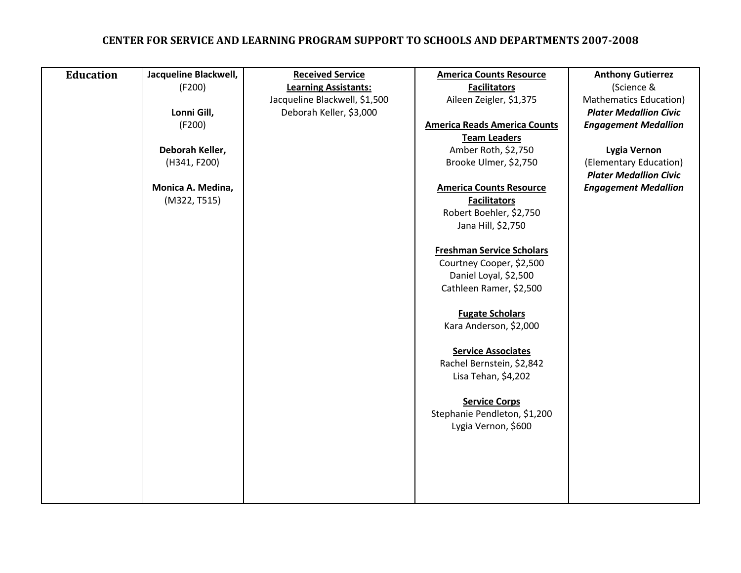| <b>Education</b> | Jacqueline Blackwell, | <b>Received Service</b>       | <b>America Counts Resource</b>      | <b>Anthony Gutierrez</b>      |
|------------------|-----------------------|-------------------------------|-------------------------------------|-------------------------------|
|                  | (F200)                | <b>Learning Assistants:</b>   | <b>Facilitators</b>                 | (Science &                    |
|                  |                       | Jacqueline Blackwell, \$1,500 | Aileen Zeigler, \$1,375             | <b>Mathematics Education)</b> |
|                  | Lonni Gill,           | Deborah Keller, \$3,000       |                                     | <b>Plater Medallion Civic</b> |
|                  | (F200)                |                               | <b>America Reads America Counts</b> | <b>Engagement Medallion</b>   |
|                  |                       |                               | <b>Team Leaders</b>                 |                               |
|                  | Deborah Keller,       |                               | Amber Roth, \$2,750                 | Lygia Vernon                  |
|                  | (H341, F200)          |                               | Brooke Ulmer, \$2,750               | (Elementary Education)        |
|                  |                       |                               |                                     | <b>Plater Medallion Civic</b> |
|                  | Monica A. Medina,     |                               | <b>America Counts Resource</b>      | <b>Engagement Medallion</b>   |
|                  | (M322, T515)          |                               | <b>Facilitators</b>                 |                               |
|                  |                       |                               | Robert Boehler, \$2,750             |                               |
|                  |                       |                               | Jana Hill, \$2,750                  |                               |
|                  |                       |                               |                                     |                               |
|                  |                       |                               | <b>Freshman Service Scholars</b>    |                               |
|                  |                       |                               | Courtney Cooper, \$2,500            |                               |
|                  |                       |                               | Daniel Loyal, \$2,500               |                               |
|                  |                       |                               | Cathleen Ramer, \$2,500             |                               |
|                  |                       |                               |                                     |                               |
|                  |                       |                               | <b>Fugate Scholars</b>              |                               |
|                  |                       |                               | Kara Anderson, \$2,000              |                               |
|                  |                       |                               |                                     |                               |
|                  |                       |                               | <b>Service Associates</b>           |                               |
|                  |                       |                               | Rachel Bernstein, \$2,842           |                               |
|                  |                       |                               | Lisa Tehan, \$4,202                 |                               |
|                  |                       |                               |                                     |                               |
|                  |                       |                               | <b>Service Corps</b>                |                               |
|                  |                       |                               | Stephanie Pendleton, \$1,200        |                               |
|                  |                       |                               | Lygia Vernon, \$600                 |                               |
|                  |                       |                               |                                     |                               |
|                  |                       |                               |                                     |                               |
|                  |                       |                               |                                     |                               |
|                  |                       |                               |                                     |                               |
|                  |                       |                               |                                     |                               |
|                  |                       |                               |                                     |                               |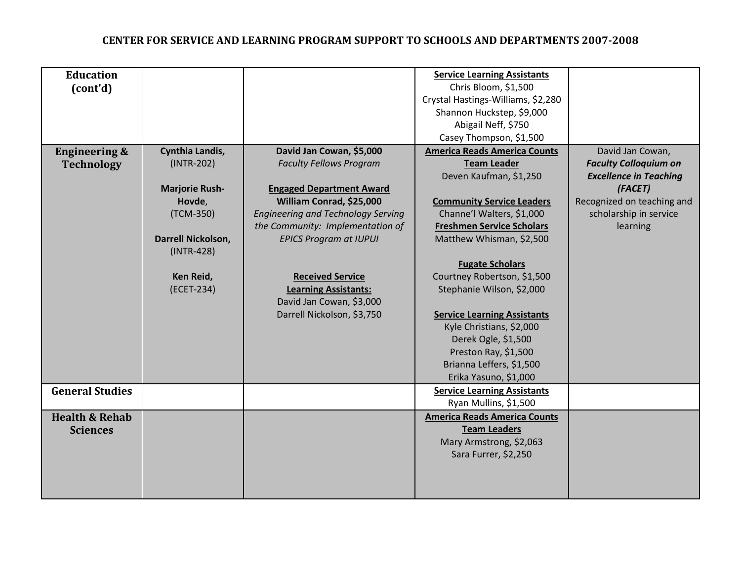| <b>Education</b>          |                       |                                           | <b>Service Learning Assistants</b>  |                               |
|---------------------------|-----------------------|-------------------------------------------|-------------------------------------|-------------------------------|
| (cont'd)                  |                       |                                           | Chris Bloom, \$1,500                |                               |
|                           |                       |                                           | Crystal Hastings-Williams, \$2,280  |                               |
|                           |                       |                                           | Shannon Huckstep, \$9,000           |                               |
|                           |                       |                                           | Abigail Neff, \$750                 |                               |
|                           |                       |                                           | Casey Thompson, \$1,500             |                               |
| <b>Engineering &amp;</b>  | Cynthia Landis,       | David Jan Cowan, \$5,000                  | <b>America Reads America Counts</b> | David Jan Cowan,              |
| <b>Technology</b>         | $(INTR-202)$          | <b>Faculty Fellows Program</b>            | <b>Team Leader</b>                  | <b>Faculty Colloquium on</b>  |
|                           |                       |                                           | Deven Kaufman, \$1,250              | <b>Excellence in Teaching</b> |
|                           | <b>Marjorie Rush-</b> | <b>Engaged Department Award</b>           |                                     | (FACET)                       |
|                           | Hovde,                | William Conrad, \$25,000                  | <b>Community Service Leaders</b>    | Recognized on teaching and    |
|                           | (TCM-350)             | <b>Engineering and Technology Serving</b> | Channe'l Walters, \$1,000           | scholarship in service        |
|                           |                       | the Community: Implementation of          | <b>Freshmen Service Scholars</b>    | learning                      |
|                           | Darrell Nickolson,    | <b>EPICS Program at IUPUI</b>             | Matthew Whisman, \$2,500            |                               |
|                           | $(INTR-428)$          |                                           |                                     |                               |
|                           |                       |                                           | <b>Fugate Scholars</b>              |                               |
|                           | Ken Reid,             | <b>Received Service</b>                   | Courtney Robertson, \$1,500         |                               |
|                           | (ECET-234)            | <b>Learning Assistants:</b>               | Stephanie Wilson, \$2,000           |                               |
|                           |                       | David Jan Cowan, \$3,000                  |                                     |                               |
|                           |                       | Darrell Nickolson, \$3,750                | <b>Service Learning Assistants</b>  |                               |
|                           |                       |                                           | Kyle Christians, \$2,000            |                               |
|                           |                       |                                           | Derek Ogle, \$1,500                 |                               |
|                           |                       |                                           | Preston Ray, \$1,500                |                               |
|                           |                       |                                           | Brianna Leffers, \$1,500            |                               |
|                           |                       |                                           | Erika Yasuno, \$1,000               |                               |
| <b>General Studies</b>    |                       |                                           | <b>Service Learning Assistants</b>  |                               |
|                           |                       |                                           | Ryan Mullins, \$1,500               |                               |
| <b>Health &amp; Rehab</b> |                       |                                           | <b>America Reads America Counts</b> |                               |
| <b>Sciences</b>           |                       |                                           | <b>Team Leaders</b>                 |                               |
|                           |                       |                                           | Mary Armstrong, \$2,063             |                               |
|                           |                       |                                           | Sara Furrer, \$2,250                |                               |
|                           |                       |                                           |                                     |                               |
|                           |                       |                                           |                                     |                               |
|                           |                       |                                           |                                     |                               |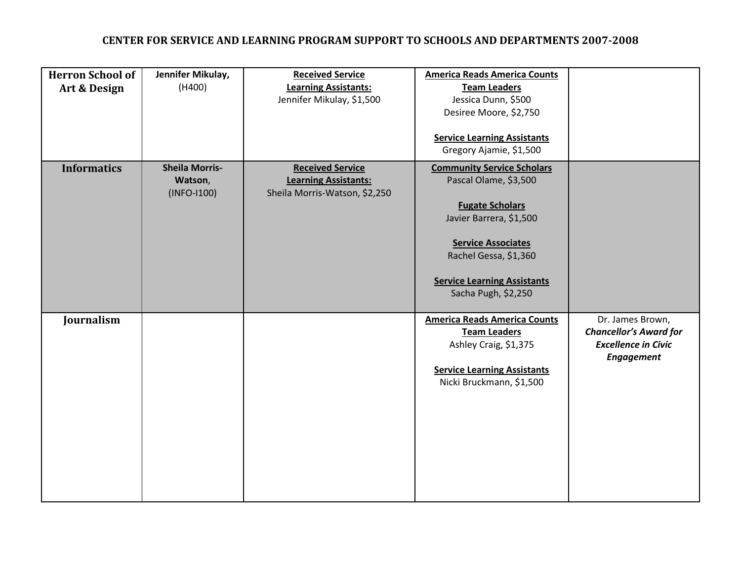| <b>Herron School of</b><br>Art & Design | Jennifer Mikulay,<br>(H400)                       | <b>Received Service</b><br><b>Learning Assistants:</b><br>Jennifer Mikulay, \$1,500     | <b>America Reads America Counts</b><br><b>Team Leaders</b><br>Jessica Dunn, \$500<br>Desiree Moore, \$2,750<br><b>Service Learning Assistants</b><br>Gregory Ajamie, \$1,500                                                       |                                                                                                      |
|-----------------------------------------|---------------------------------------------------|-----------------------------------------------------------------------------------------|------------------------------------------------------------------------------------------------------------------------------------------------------------------------------------------------------------------------------------|------------------------------------------------------------------------------------------------------|
| <b>Informatics</b>                      | <b>Sheila Morris-</b><br>Watson,<br>$(INFO-I100)$ | <b>Received Service</b><br><b>Learning Assistants:</b><br>Sheila Morris-Watson, \$2,250 | <b>Community Service Scholars</b><br>Pascal Olame, \$3,500<br><b>Fugate Scholars</b><br>Javier Barrera, \$1,500<br><b>Service Associates</b><br>Rachel Gessa, \$1,360<br><b>Service Learning Assistants</b><br>Sacha Pugh, \$2,250 |                                                                                                      |
| Journalism                              |                                                   |                                                                                         | <b>America Reads America Counts</b><br><b>Team Leaders</b><br>Ashley Craig, \$1,375<br><b>Service Learning Assistants</b><br>Nicki Bruckmann, \$1,500                                                                              | Dr. James Brown,<br><b>Chancellor's Award for</b><br><b>Excellence in Civic</b><br><b>Engagement</b> |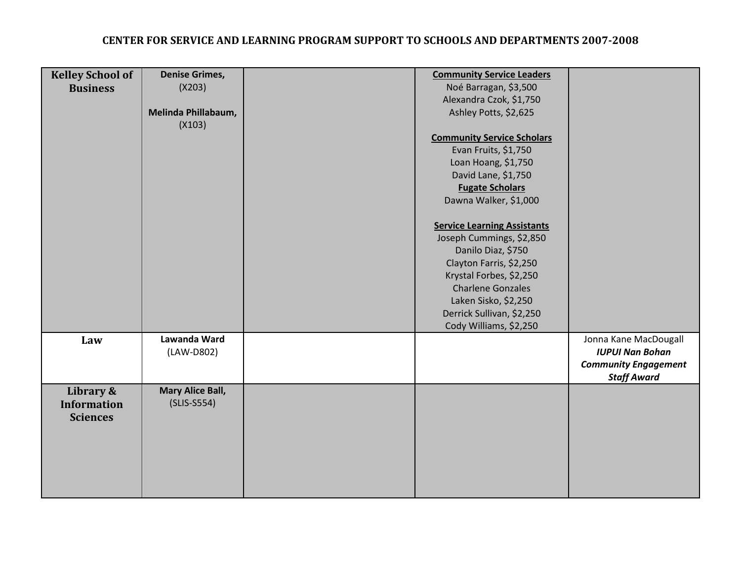| <b>Kelley School of</b><br><b>Business</b>         | <b>Denise Grimes,</b><br>(X203)<br>Melinda Phillabaum,<br>(X103) | <b>Community Service Leaders</b><br>Noé Barragan, \$3,500<br>Alexandra Czok, \$1,750<br>Ashley Potts, \$2,625<br><b>Community Service Scholars</b><br>Evan Fruits, \$1,750<br>Loan Hoang, \$1,750<br>David Lane, \$1,750<br><b>Fugate Scholars</b><br>Dawna Walker, \$1,000 |                                                                                                      |
|----------------------------------------------------|------------------------------------------------------------------|-----------------------------------------------------------------------------------------------------------------------------------------------------------------------------------------------------------------------------------------------------------------------------|------------------------------------------------------------------------------------------------------|
|                                                    |                                                                  | <b>Service Learning Assistants</b><br>Joseph Cummings, \$2,850<br>Danilo Diaz, \$750<br>Clayton Farris, \$2,250<br>Krystal Forbes, \$2,250<br><b>Charlene Gonzales</b><br>Laken Sisko, \$2,250<br>Derrick Sullivan, \$2,250<br>Cody Williams, \$2,250                       |                                                                                                      |
| Law                                                | Lawanda Ward<br>(LAW-D802)                                       |                                                                                                                                                                                                                                                                             | Jonna Kane MacDougall<br><b>IUPUI Nan Bohan</b><br><b>Community Engagement</b><br><b>Staff Award</b> |
| Library &<br><b>Information</b><br><b>Sciences</b> | <b>Mary Alice Ball,</b><br>$(SLIS-S554)$                         |                                                                                                                                                                                                                                                                             |                                                                                                      |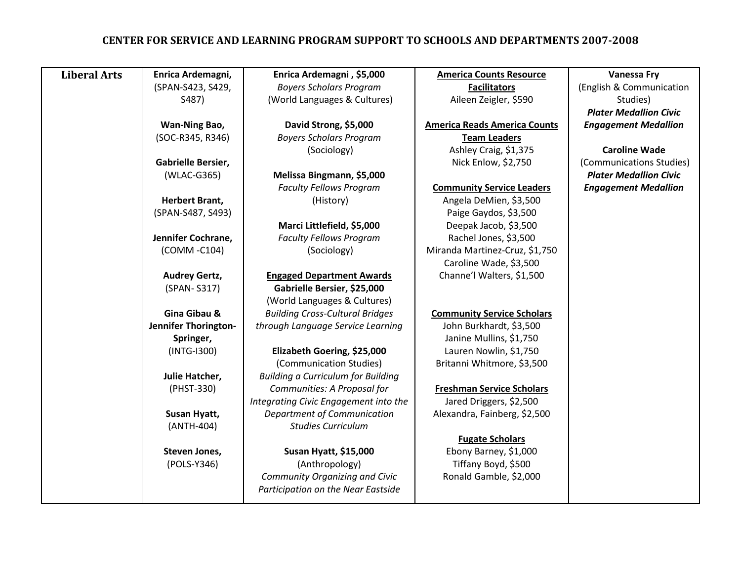| <b>Liberal Arts</b> | Enrica Ardemagni,     | Enrica Ardemagni, \$5,000                 | <b>America Counts Resource</b>      | <b>Vanessa Fry</b>            |
|---------------------|-----------------------|-------------------------------------------|-------------------------------------|-------------------------------|
|                     | (SPAN-S423, S429,     | <b>Boyers Scholars Program</b>            | <b>Facilitators</b>                 | (English & Communication      |
|                     | S487)                 | (World Languages & Cultures)              | Aileen Zeigler, \$590               | Studies)                      |
|                     |                       |                                           |                                     | <b>Plater Medallion Civic</b> |
|                     | <b>Wan-Ning Bao,</b>  | David Strong, \$5,000                     | <b>America Reads America Counts</b> | <b>Engagement Medallion</b>   |
|                     | (SOC-R345, R346)      | <b>Boyers Scholars Program</b>            | <b>Team Leaders</b>                 |                               |
|                     |                       | (Sociology)                               | Ashley Craig, \$1,375               | <b>Caroline Wade</b>          |
|                     | Gabrielle Bersier,    |                                           | Nick Enlow, \$2,750                 | (Communications Studies)      |
|                     | (WLAC-G365)           | Melissa Bingmann, \$5,000                 |                                     | <b>Plater Medallion Civic</b> |
|                     |                       | <b>Faculty Fellows Program</b>            | <b>Community Service Leaders</b>    | <b>Engagement Medallion</b>   |
|                     | <b>Herbert Brant,</b> | (History)                                 | Angela DeMien, \$3,500              |                               |
|                     | (SPAN-S487, S493)     |                                           | Paige Gaydos, \$3,500               |                               |
|                     |                       | Marci Littlefield, \$5,000                | Deepak Jacob, \$3,500               |                               |
|                     | Jennifer Cochrane,    | <b>Faculty Fellows Program</b>            | Rachel Jones, \$3,500               |                               |
|                     | (COMM-C104)           | (Sociology)                               | Miranda Martinez-Cruz, \$1,750      |                               |
|                     |                       |                                           | Caroline Wade, \$3,500              |                               |
|                     | <b>Audrey Gertz,</b>  | <b>Engaged Department Awards</b>          | Channe'l Walters, \$1,500           |                               |
|                     | (SPAN-S317)           | Gabrielle Bersier, \$25,000               |                                     |                               |
|                     |                       | (World Languages & Cultures)              |                                     |                               |
|                     | Gina Gibau &          | <b>Building Cross-Cultural Bridges</b>    | <b>Community Service Scholars</b>   |                               |
|                     | Jennifer Thorington-  | through Language Service Learning         | John Burkhardt, \$3,500             |                               |
|                     | Springer,             |                                           | Janine Mullins, \$1,750             |                               |
|                     | $(INTG-I300)$         | Elizabeth Goering, \$25,000               | Lauren Nowlin, \$1,750              |                               |
|                     |                       | (Communication Studies)                   | Britanni Whitmore, \$3,500          |                               |
|                     | Julie Hatcher,        | <b>Building a Curriculum for Building</b> |                                     |                               |
|                     | (PHST-330)            | Communities: A Proposal for               | <b>Freshman Service Scholars</b>    |                               |
|                     |                       | Integrating Civic Engagement into the     | Jared Driggers, \$2,500             |                               |
|                     | Susan Hyatt,          | Department of Communication               | Alexandra, Fainberg, \$2,500        |                               |
|                     | (ANTH-404)            | <b>Studies Curriculum</b>                 |                                     |                               |
|                     |                       |                                           | <b>Fugate Scholars</b>              |                               |
|                     | Steven Jones,         | <b>Susan Hyatt, \$15,000</b>              | Ebony Barney, \$1,000               |                               |
|                     | (POLS-Y346)           | (Anthropology)                            | Tiffany Boyd, \$500                 |                               |
|                     |                       | Community Organizing and Civic            | Ronald Gamble, \$2,000              |                               |
|                     |                       | Participation on the Near Eastside        |                                     |                               |
|                     |                       |                                           |                                     |                               |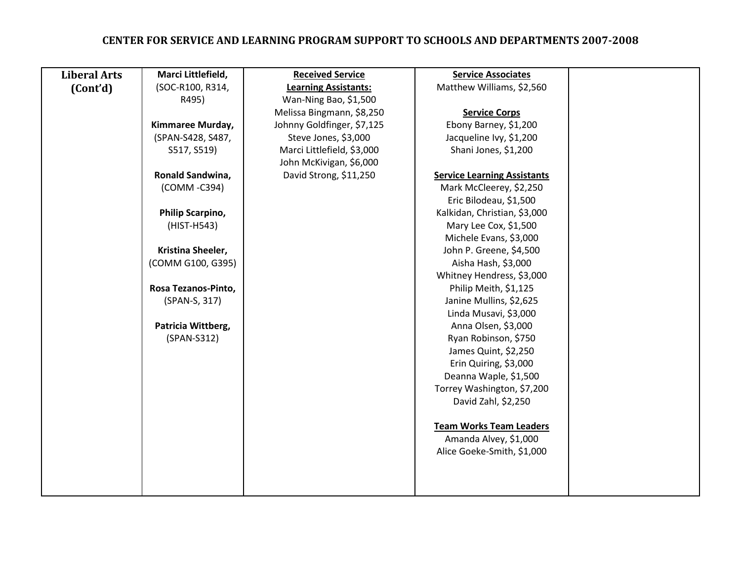| <b>Liberal Arts</b> | Marci Littlefield,  | <b>Received Service</b>     | <b>Service Associates</b>          |  |
|---------------------|---------------------|-----------------------------|------------------------------------|--|
| (Cont'd)            | (SOC-R100, R314,    | <b>Learning Assistants:</b> | Matthew Williams, \$2,560          |  |
|                     | R495)               | Wan-Ning Bao, \$1,500       |                                    |  |
|                     |                     | Melissa Bingmann, \$8,250   | <b>Service Corps</b>               |  |
|                     | Kimmaree Murday,    | Johnny Goldfinger, \$7,125  | Ebony Barney, \$1,200              |  |
|                     | (SPAN-S428, S487,   | Steve Jones, \$3,000        | Jacqueline Ivy, \$1,200            |  |
|                     | S517, S519)         | Marci Littlefield, \$3,000  | Shani Jones, \$1,200               |  |
|                     |                     | John McKivigan, \$6,000     |                                    |  |
|                     | Ronald Sandwina,    | David Strong, \$11,250      | <b>Service Learning Assistants</b> |  |
|                     | (COMM -C394)        |                             | Mark McCleerey, \$2,250            |  |
|                     |                     |                             | Eric Bilodeau, \$1,500             |  |
|                     | Philip Scarpino,    |                             | Kalkidan, Christian, \$3,000       |  |
|                     | (HIST-H543)         |                             | Mary Lee Cox, \$1,500              |  |
|                     |                     |                             | Michele Evans, \$3,000             |  |
|                     | Kristina Sheeler,   |                             | John P. Greene, \$4,500            |  |
|                     | (COMM G100, G395)   |                             | Aisha Hash, \$3,000                |  |
|                     |                     |                             | Whitney Hendress, \$3,000          |  |
|                     | Rosa Tezanos-Pinto, |                             | Philip Meith, \$1,125              |  |
|                     | (SPAN-S, 317)       |                             | Janine Mullins, \$2,625            |  |
|                     |                     |                             | Linda Musavi, \$3,000              |  |
|                     | Patricia Wittberg,  |                             | Anna Olsen, \$3,000                |  |
|                     | (SPAN-S312)         |                             | Ryan Robinson, \$750               |  |
|                     |                     |                             | James Quint, \$2,250               |  |
|                     |                     |                             | Erin Quiring, \$3,000              |  |
|                     |                     |                             | Deanna Waple, \$1,500              |  |
|                     |                     |                             | Torrey Washington, \$7,200         |  |
|                     |                     |                             | David Zahl, \$2,250                |  |
|                     |                     |                             |                                    |  |
|                     |                     |                             | <b>Team Works Team Leaders</b>     |  |
|                     |                     |                             | Amanda Alvey, \$1,000              |  |
|                     |                     |                             | Alice Goeke-Smith, \$1,000         |  |
|                     |                     |                             |                                    |  |
|                     |                     |                             |                                    |  |
|                     |                     |                             |                                    |  |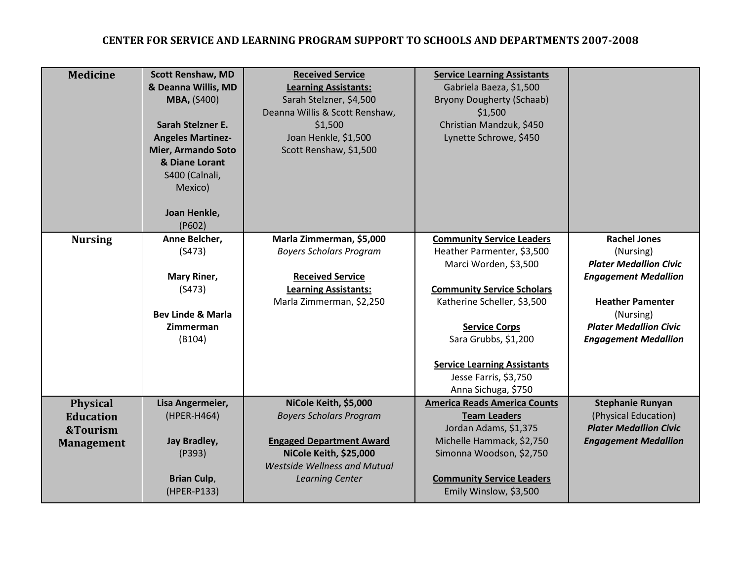| <b>Medicine</b>                                                      | <b>Scott Renshaw, MD</b><br>& Deanna Willis, MD<br><b>MBA, (S400)</b><br>Sarah Stelzner E.<br><b>Angeles Martinez-</b><br><b>Mier, Armando Soto</b><br>& Diane Lorant<br>S400 (Calnali,<br>Mexico)<br>Joan Henkle,<br>(P602) | <b>Received Service</b><br><b>Learning Assistants:</b><br>Sarah Stelzner, \$4,500<br>Deanna Willis & Scott Renshaw,<br>\$1,500<br>Joan Henkle, \$1,500<br>Scott Renshaw, \$1,500             | <b>Service Learning Assistants</b><br>Gabriela Baeza, \$1,500<br><b>Bryony Dougherty (Schaab)</b><br>\$1,500<br>Christian Mandzuk, \$450<br>Lynette Schrowe, \$450                                                                                                                                |                                                                                                                                                                                                          |
|----------------------------------------------------------------------|------------------------------------------------------------------------------------------------------------------------------------------------------------------------------------------------------------------------------|----------------------------------------------------------------------------------------------------------------------------------------------------------------------------------------------|---------------------------------------------------------------------------------------------------------------------------------------------------------------------------------------------------------------------------------------------------------------------------------------------------|----------------------------------------------------------------------------------------------------------------------------------------------------------------------------------------------------------|
| <b>Nursing</b>                                                       | Anne Belcher,<br>(S473)<br>Mary Riner,<br>(S473)<br><b>Bev Linde &amp; Marla</b><br>Zimmerman<br>(B104)                                                                                                                      | Marla Zimmerman, \$5,000<br><b>Boyers Scholars Program</b><br><b>Received Service</b><br><b>Learning Assistants:</b><br>Marla Zimmerman, \$2,250                                             | <b>Community Service Leaders</b><br>Heather Parmenter, \$3,500<br>Marci Worden, \$3,500<br><b>Community Service Scholars</b><br>Katherine Scheller, \$3,500<br><b>Service Corps</b><br>Sara Grubbs, \$1,200<br><b>Service Learning Assistants</b><br>Jesse Farris, \$3,750<br>Anna Sichuga, \$750 | <b>Rachel Jones</b><br>(Nursing)<br><b>Plater Medallion Civic</b><br><b>Engagement Medallion</b><br><b>Heather Pamenter</b><br>(Nursing)<br><b>Plater Medallion Civic</b><br><b>Engagement Medallion</b> |
| <b>Physical</b><br><b>Education</b><br>&Tourism<br><b>Management</b> | Lisa Angermeier,<br>(HPER-H464)<br>Jay Bradley,<br>(P393)<br><b>Brian Culp,</b><br>(HPER-P133)                                                                                                                               | NiCole Keith, \$5,000<br><b>Boyers Scholars Program</b><br><b>Engaged Department Award</b><br><b>NiCole Keith, \$25,000</b><br><b>Westside Wellness and Mutual</b><br><b>Learning Center</b> | <b>America Reads America Counts</b><br><b>Team Leaders</b><br>Jordan Adams, \$1,375<br>Michelle Hammack, \$2,750<br>Simonna Woodson, \$2,750<br><b>Community Service Leaders</b><br>Emily Winslow, \$3,500                                                                                        | <b>Stephanie Runyan</b><br>(Physical Education)<br><b>Plater Medallion Civic</b><br><b>Engagement Medallion</b>                                                                                          |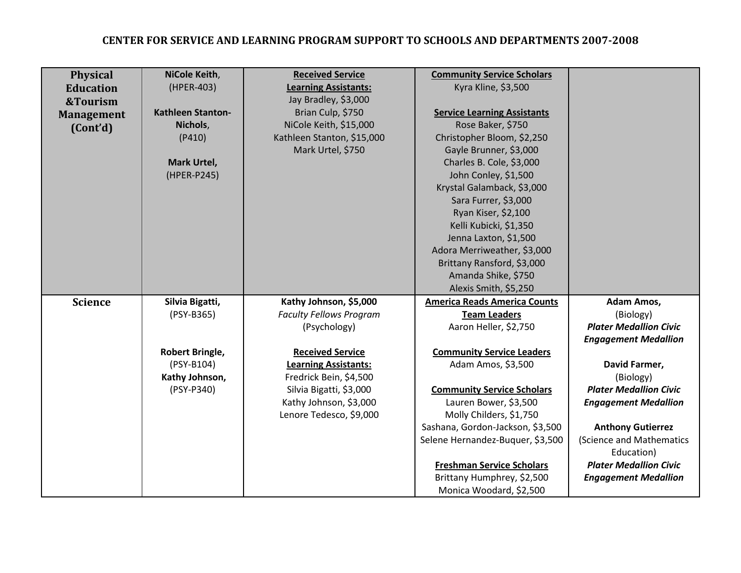| <b>Physical</b>   | NiCole Keith,            | <b>Received Service</b>        | <b>Community Service Scholars</b>   |                               |
|-------------------|--------------------------|--------------------------------|-------------------------------------|-------------------------------|
| <b>Education</b>  | (HPER-403)               | <b>Learning Assistants:</b>    | Kyra Kline, \$3,500                 |                               |
| &Tourism          |                          | Jay Bradley, \$3,000           |                                     |                               |
| <b>Management</b> | <b>Kathleen Stanton-</b> | Brian Culp, \$750              | <b>Service Learning Assistants</b>  |                               |
| (Cont'd)          | Nichols,                 | NiCole Keith, \$15,000         | Rose Baker, \$750                   |                               |
|                   | (P410)                   | Kathleen Stanton, \$15,000     | Christopher Bloom, \$2,250          |                               |
|                   |                          | Mark Urtel, \$750              | Gayle Brunner, \$3,000              |                               |
|                   | Mark Urtel,              |                                | Charles B. Cole, \$3,000            |                               |
|                   | (HPER-P245)              |                                | John Conley, \$1,500                |                               |
|                   |                          |                                | Krystal Galamback, \$3,000          |                               |
|                   |                          |                                | Sara Furrer, \$3,000                |                               |
|                   |                          |                                | Ryan Kiser, \$2,100                 |                               |
|                   |                          |                                | Kelli Kubicki, \$1,350              |                               |
|                   |                          |                                | Jenna Laxton, \$1,500               |                               |
|                   |                          |                                | Adora Merriweather, \$3,000         |                               |
|                   |                          |                                | Brittany Ransford, \$3,000          |                               |
|                   |                          |                                | Amanda Shike, \$750                 |                               |
|                   |                          |                                | Alexis Smith, \$5,250               |                               |
| <b>Science</b>    | Silvia Bigatti,          | Kathy Johnson, \$5,000         | <b>America Reads America Counts</b> | Adam Amos,                    |
|                   | (PSY-B365)               | <b>Faculty Fellows Program</b> | <b>Team Leaders</b>                 | (Biology)                     |
|                   |                          | (Psychology)                   | Aaron Heller, \$2,750               | <b>Plater Medallion Civic</b> |
|                   |                          |                                |                                     | <b>Engagement Medallion</b>   |
|                   | Robert Bringle,          | <b>Received Service</b>        | <b>Community Service Leaders</b>    |                               |
|                   | (PSY-B104)               | <b>Learning Assistants:</b>    | Adam Amos, \$3,500                  | David Farmer,                 |
|                   | Kathy Johnson,           | Fredrick Bein, \$4,500         |                                     | (Biology)                     |
|                   | (PSY-P340)               | Silvia Bigatti, \$3,000        | <b>Community Service Scholars</b>   | <b>Plater Medallion Civic</b> |
|                   |                          | Kathy Johnson, \$3,000         | Lauren Bower, \$3,500               | <b>Engagement Medallion</b>   |
|                   |                          | Lenore Tedesco, \$9,000        | Molly Childers, \$1,750             |                               |
|                   |                          |                                | Sashana, Gordon-Jackson, \$3,500    | <b>Anthony Gutierrez</b>      |
|                   |                          |                                | Selene Hernandez-Buquer, \$3,500    | (Science and Mathematics      |
|                   |                          |                                |                                     | Education)                    |
|                   |                          |                                | <b>Freshman Service Scholars</b>    | <b>Plater Medallion Civic</b> |
|                   |                          |                                | Brittany Humphrey, \$2,500          | <b>Engagement Medallion</b>   |
|                   |                          |                                | Monica Woodard, \$2,500             |                               |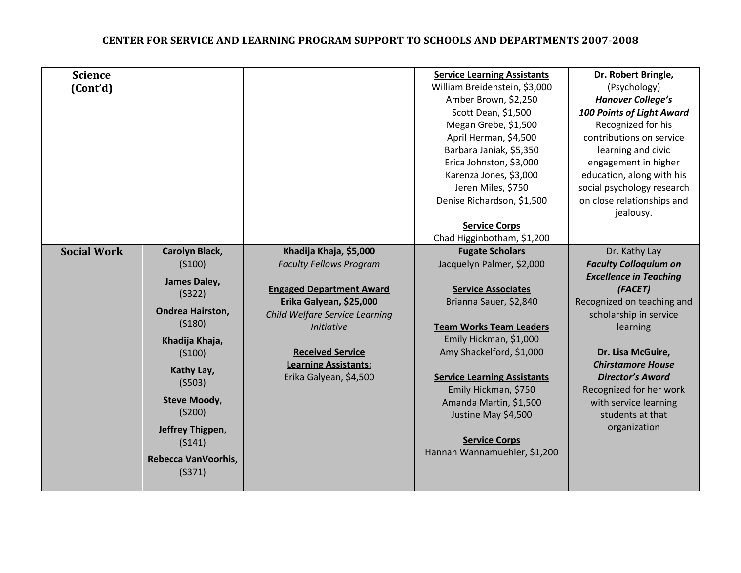| <b>Science</b>     |                         |                                 | <b>Service Learning Assistants</b> | Dr. Robert Bringle,                       |
|--------------------|-------------------------|---------------------------------|------------------------------------|-------------------------------------------|
| (Cont'd)           |                         |                                 | William Breidenstein, \$3,000      | (Psychology)                              |
|                    |                         |                                 | Amber Brown, \$2,250               | <b>Hanover College's</b>                  |
|                    |                         |                                 | Scott Dean, \$1,500                | <b>100 Points of Light Award</b>          |
|                    |                         |                                 | Megan Grebe, \$1,500               | Recognized for his                        |
|                    |                         |                                 | April Herman, \$4,500              | contributions on service                  |
|                    |                         |                                 | Barbara Janiak, \$5,350            | learning and civic                        |
|                    |                         |                                 | Erica Johnston, \$3,000            | engagement in higher                      |
|                    |                         |                                 | Karenza Jones, \$3,000             | education, along with his                 |
|                    |                         |                                 | Jeren Miles, \$750                 | social psychology research                |
|                    |                         |                                 | Denise Richardson, \$1,500         | on close relationships and                |
|                    |                         |                                 |                                    | jealousy.                                 |
|                    |                         |                                 | <b>Service Corps</b>               |                                           |
|                    |                         |                                 | Chad Higginbotham, \$1,200         |                                           |
| <b>Social Work</b> | Carolyn Black,          | Khadija Khaja, \$5,000          | <b>Fugate Scholars</b>             | Dr. Kathy Lay                             |
|                    | (S100)                  | <b>Faculty Fellows Program</b>  | Jacquelyn Palmer, \$2,000          | <b>Faculty Colloquium on</b>              |
|                    | James Daley,            |                                 |                                    | <b>Excellence in Teaching</b>             |
|                    | (S322)                  | <b>Engaged Department Award</b> | <b>Service Associates</b>          | (FACET)                                   |
|                    | <b>Ondrea Hairston,</b> | Erika Galyean, \$25,000         | Brianna Sauer, \$2,840             | Recognized on teaching and                |
|                    | (S180)                  | Child Welfare Service Learning  |                                    | scholarship in service                    |
|                    |                         | <b>Initiative</b>               | <b>Team Works Team Leaders</b>     | learning                                  |
|                    | Khadija Khaja,          |                                 | Emily Hickman, \$1,000             |                                           |
|                    | (S100)                  | <b>Received Service</b>         | Amy Shackelford, \$1,000           | Dr. Lisa McGuire,                         |
|                    | Kathy Lay,              | <b>Learning Assistants:</b>     |                                    | <b>Chirstamore House</b>                  |
|                    | (5503)                  | Erika Galyean, \$4,500          | <b>Service Learning Assistants</b> | <b>Director's Award</b>                   |
|                    | <b>Steve Moody,</b>     |                                 | Emily Hickman, \$750               | Recognized for her work                   |
|                    | (S200)                  |                                 | Amanda Martin, \$1,500             | with service learning<br>students at that |
|                    |                         |                                 | Justine May \$4,500                | organization                              |
|                    | Jeffrey Thigpen,        |                                 | <b>Service Corps</b>               |                                           |
|                    | (S141)                  |                                 | Hannah Wannamuehler, \$1,200       |                                           |
|                    | Rebecca VanVoorhis,     |                                 |                                    |                                           |
|                    | (S371)                  |                                 |                                    |                                           |
|                    |                         |                                 |                                    |                                           |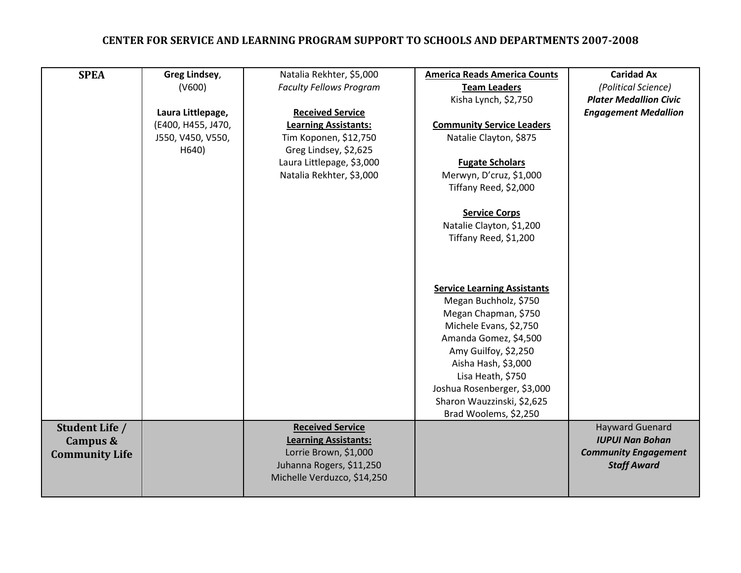| <b>SPEA</b>                                         | Greg Lindsey,<br>(V600)<br>Laura Littlepage,<br>(E400, H455, J470,<br>J550, V450, V550,<br>H640) | Natalia Rekhter, \$5,000<br><b>Faculty Fellows Program</b><br><b>Received Service</b><br><b>Learning Assistants:</b><br>Tim Koponen, \$12,750<br>Greg Lindsey, \$2,625<br>Laura Littlepage, \$3,000<br>Natalia Rekhter, \$3,000 | <b>America Reads America Counts</b><br><b>Team Leaders</b><br>Kisha Lynch, \$2,750<br><b>Community Service Leaders</b><br>Natalie Clayton, \$875<br><b>Fugate Scholars</b><br>Merwyn, D'cruz, \$1,000<br>Tiffany Reed, \$2,000<br><b>Service Corps</b><br>Natalie Clayton, \$1,200<br>Tiffany Reed, \$1,200 | <b>Caridad Ax</b><br>(Political Science)<br><b>Plater Medallion Civic</b><br><b>Engagement Medallion</b> |
|-----------------------------------------------------|--------------------------------------------------------------------------------------------------|---------------------------------------------------------------------------------------------------------------------------------------------------------------------------------------------------------------------------------|-------------------------------------------------------------------------------------------------------------------------------------------------------------------------------------------------------------------------------------------------------------------------------------------------------------|----------------------------------------------------------------------------------------------------------|
|                                                     |                                                                                                  |                                                                                                                                                                                                                                 | <b>Service Learning Assistants</b><br>Megan Buchholz, \$750<br>Megan Chapman, \$750<br>Michele Evans, \$2,750<br>Amanda Gomez, \$4,500<br>Amy Guilfoy, \$2,250<br>Aisha Hash, \$3,000<br>Lisa Heath, \$750<br>Joshua Rosenberger, \$3,000<br>Sharon Wauzzinski, \$2,625<br>Brad Woolems, \$2,250            |                                                                                                          |
| Student Life /<br>Campus &<br><b>Community Life</b> |                                                                                                  | <b>Received Service</b><br><b>Learning Assistants:</b><br>Lorrie Brown, \$1,000<br>Juhanna Rogers, \$11,250<br>Michelle Verduzco, \$14,250                                                                                      |                                                                                                                                                                                                                                                                                                             | <b>Hayward Guenard</b><br><b>IUPUI Nan Bohan</b><br><b>Community Engagement</b><br><b>Staff Award</b>    |